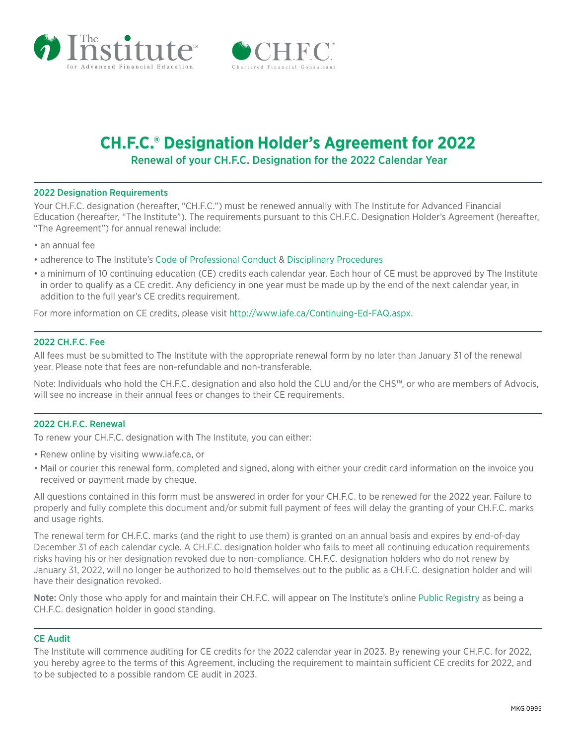



# **CH.F.C.® Designation Holder's Agreement for 2022** Renewal of your CH.F.C. Designation for the 2022 Calendar Year

### 2022 Designation Requirements

Your CH.F.C. designation (hereafter, "CH.F.C.") must be renewed annually with The Institute for Advanced Financial Education (hereafter, "The Institute"). The requirements pursuant to this CH.F.C. Designation Holder's Agreement (hereafter, "The Agreement") for annual renewal include:

- an annual fee
- adherence to The Institute's [Code of Professional Conduct](https://iafe.ca/compliance/code-of-conduct/) & [Disciplinary Procedures](https://iafe.ca/compliance/disciplinary-process/)
- a minimum of 10 continuing education (CE) credits each calendar year. Each hour of CE must be approved by The Institute in order to qualify as a CE credit. Any deficiency in one year must be made up by the end of the next calendar year, in addition to the full year's CE credits requirement.

For more information on CE credits, please visit [http://www.iafe.ca/Continuing-Ed-FAQ.aspx.](https://iafe.ca/continuing-education/continuing-education-faq/)

### 2022 CH.F.C. Fee

All fees must be submitted to The Institute with the appropriate renewal form by no later than January 31 of the renewal year. Please note that fees are non-refundable and non-transferable.

Note: Individuals who hold the CH.F.C. designation and also hold the CLU and/or the CHS™, or who are members of Advocis, will see no increase in their annual fees or changes to their CE requirements.

### 2022 CH.F.C. Renewal

To renew your CH.F.C. designation with The Institute, you can either:

- Renew online by visiting<www.iafe.ca>, or
- Mail or courier this renewal form, completed and signed, along with either your credit card information on the invoice you received or payment made by cheque.

All questions contained in this form must be answered in order for your CH.F.C. to be renewed for the 2022 year. Failure to properly and fully complete this document and/or submit full payment of fees will delay the granting of your CH.F.C. marks and usage rights.

The renewal term for CH.F.C. marks (and the right to use them) is granted on an annual basis and expires by end-of-day December 31 of each calendar cycle. A CH.F.C. designation holder who fails to meet all continuing education requirements risks having his or her designation revoked due to non-compliance. CH.F.C. designation holders who do not renew by January 31, 2022, will no longer be authorized to hold themselves out to the public as a CH.F.C. designation holder and will have their designation revoked.

Note: Only those who apply for and maintain their CH.F.C. will appear on The Institute's online [Public Registry](https://iafe.ca/public-registry-of-designation/) as being a CH.F.C. designation holder in good standing.

### CE Audit

The Institute will commence auditing for CE credits for the 2022 calendar year in 2023. By renewing your CH.F.C. for 2022, you hereby agree to the terms of this Agreement, including the requirement to maintain sufficient CE credits for 2022, and to be subjected to a possible random CE audit in 2023.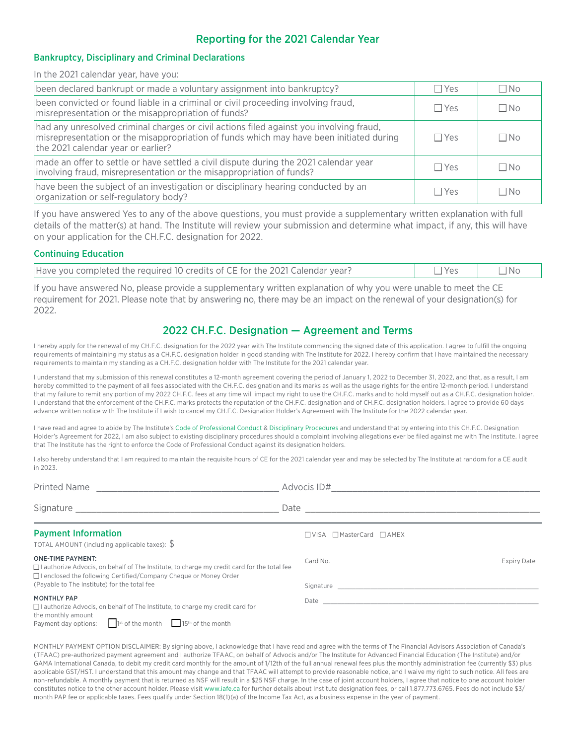# Reporting for the 2021 Calendar Year

### Bankruptcy, Disciplinary and Criminal Declarations

In the 2021 calendar year, have you:

| been declared bankrupt or made a voluntary assignment into bankruptcy?                                                                                                                                                   | $\Box$ Yes | $\Box$ No |
|--------------------------------------------------------------------------------------------------------------------------------------------------------------------------------------------------------------------------|------------|-----------|
| been convicted or found liable in a criminal or civil proceeding involving fraud,<br>misrepresentation or the misappropriation of funds?                                                                                 | $\Box$ Yes | $\Box$ No |
| had any unresolved criminal charges or civil actions filed against you involving fraud,<br>misrepresentation or the misappropriation of funds which may have been initiated during<br>the 2021 calendar year or earlier? | $\Box$ Yes | $\Box$ No |
| made an offer to settle or have settled a civil dispute during the 2021 calendar year<br>involving fraud, misrepresentation or the misappropriation of funds?                                                            | $\Box$ Yes | $\Box$ No |
| have been the subject of an investigation or disciplinary hearing conducted by an<br>organization or self-regulatory body?                                                                                               | $\Box$ Yes | ΠNo       |

If you have answered Yes to any of the above questions, you must provide a supplementary written explanation with full details of the matter(s) at hand. The Institute will review your submission and determine what impact, if any, this will have on your application for the CH.F.C. designation for 2022.

### Continuing Education

| Have you completed the required 10 credits of CE for the 2021 Calendar year? | → Yes | $\neg$ Nc |
|------------------------------------------------------------------------------|-------|-----------|
|                                                                              |       |           |

If you have answered No, please provide a supplementary written explanation of why you were unable to meet the CE requirement for 2021. Please note that by answering no, there may be an impact on the renewal of your designation(s) for 2022.

## 2022 CH.F.C. Designation — Agreement and Terms

I hereby apply for the renewal of my CH.F.C. designation for the 2022 year with The Institute commencing the signed date of this application. I agree to fulfill the ongoing requirements of maintaining my status as a CH.F.C. designation holder in good standing with The Institute for 2022. I hereby confirm that I have maintained the necessary requirements to maintain my standing as a CH.F.C. designation holder with The Institute for the 2021 calendar year.

I understand that my submission of this renewal constitutes a 12-month agreement covering the period of January 1, 2022 to December 31, 2022, and that, as a result, I am hereby committed to the payment of all fees associated with the CH.F.C. designation and its marks as well as the usage rights for the entire 12-month period. I understand that my failure to remit any portion of my 2022 CH.F.C. fees at any time will impact my right to use the CH.F.C. marks and to hold myself out as a CH.F.C. designation holder. I understand that the enforcement of the CH.F.C. marks protects the reputation of the CH.F.C. designation and of CH.F.C. designation holders. I agree to provide 60 days advance written notice with The Institute if I wish to cancel my CH.F.C. Designation Holder's Agreement with The Institute for the 2022 calendar year.

I have read and agree to abide by The Institute's [Code of Professional Conduct](https://iafe.ca/compliance/code-of-conduct/) & [Disciplinary Procedures](https://iafe.ca/compliance/disciplinary-process/) and understand that by entering into this CH.F.C. Designation Holder's Agreement for 2022, I am also subject to existing disciplinary procedures should a complaint involving allegations ever be filed against me with The Institute. I agree that The Institute has the right to enforce the Code of Professional Conduct against its designation holders.

I also hereby understand that I am required to maintain the requisite hours of CE for the 2021 calendar year and may be selected by The Institute at random for a CE audit in 2023.

| Printed Name                                                                                                                                                                                                                                              |                                                                                                                                                                                                                                      |             |  |
|-----------------------------------------------------------------------------------------------------------------------------------------------------------------------------------------------------------------------------------------------------------|--------------------------------------------------------------------------------------------------------------------------------------------------------------------------------------------------------------------------------------|-------------|--|
|                                                                                                                                                                                                                                                           | Date <u>and a series of the series of the series of the series of the series of the series of the series of the series of the series of the series of the series of the series of the series of the series of the series of the </u> |             |  |
| <b>Payment Information</b><br>TOTAL AMOUNT (including applicable taxes): $\frac{6}{3}$                                                                                                                                                                    | □ VISA □ MasterCard □ AMEX                                                                                                                                                                                                           |             |  |
| <b>ONE-TIME PAYMENT:</b><br>$\Box$ I authorize Advocis, on behalf of The Institute, to charge my credit card for the total fee<br>$\Box$ I enclosed the following Certified/Company Cheque or Money Order<br>(Payable to The Institute) for the total fee | Card No.                                                                                                                                                                                                                             | Expiry Date |  |
|                                                                                                                                                                                                                                                           |                                                                                                                                                                                                                                      |             |  |
| <b>MONTHLY PAP</b><br>$\Box$ I authorize Advocis, on behalf of The Institute, to charge my credit card for<br>the monthly amount                                                                                                                          |                                                                                                                                                                                                                                      |             |  |
| Payment day options: $\Box$ 1st of the month $\Box$ 15 <sup>th</sup> of the month                                                                                                                                                                         |                                                                                                                                                                                                                                      |             |  |

MONTHLY PAYMENT OPTION DISCLAIMER: By signing above, I acknowledge that I have read and agree with the terms of The Financial Advisors Association of Canada's (TFAAC) pre-authorized payment agreement and I authorize TFAAC, on behalf of Advocis and/or The Institute for Advanced Financial Education (The Institute) and/or GAMA International Canada, to debit my credit card monthly for the amount of 1/12th of the full annual renewal fees plus the monthly administration fee (currently \$3) plus applicable GST/HST. I understand that this amount may change and that TFAAC will attempt to provide reasonable notice, and I waive my right to such notice. All fees are non-refundable. A monthly payment that is returned as NSF will result in a \$25 NSF charge. In the case of joint account holders, I agree that notice to one account holder constitutes notice to the other account holder. Please visit www.iafe.ca for further details about Institute designation fees, or call 1.877.773.6765. Fees do not include \$3/ month PAP fee or applicable taxes. Fees qualify under Section 18(1)(a) of the Income Tax Act, as a business expense in the year of payment.